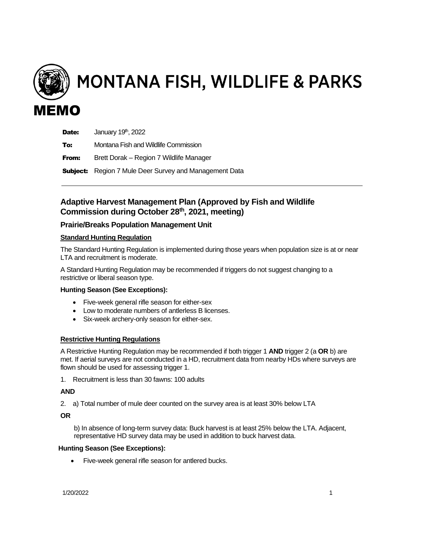

MONTANA FISH, WILDLIFE & PARKS

# Date: January 19<sup>th</sup>, 2022 **To:** Montana Fish and Wildlife Commission **From:** Brett Dorak – Region 7 Wildlife Manager **Subject:** Region 7 Mule Deer Survey and Management Data

# **Adaptive Harvest Management Plan (Approved by Fish and Wildlife Commission during October 28th, 2021, meeting)**

# **Prairie/Breaks Population Management Unit**

### **Standard Hunting Regulation**

The Standard Hunting Regulation is implemented during those years when population size is at or near LTA and recruitment is moderate.

A Standard Hunting Regulation may be recommended if triggers do not suggest changing to a restrictive or liberal season type.

### **Hunting Season (See Exceptions):**

- Five-week general rifle season for either-sex
- Low to moderate numbers of antlerless B licenses.
- Six-week archery-only season for either-sex.

### **Restrictive Hunting Regulations**

A Restrictive Hunting Regulation may be recommended if both trigger 1 **AND** trigger 2 (a **OR** b) are met. If aerial surveys are not conducted in a HD, recruitment data from nearby HDs where surveys are flown should be used for assessing trigger 1.

1. Recruitment is less than 30 fawns: 100 adults

### **AND**

2. a) Total number of mule deer counted on the survey area is at least 30% below LTA

#### **OR**

b) In absence of long-term survey data: Buck harvest is at least 25% below the LTA. Adjacent, representative HD survey data may be used in addition to buck harvest data.

#### **Hunting Season (See Exceptions):**

• Five-week general rifle season for antlered bucks.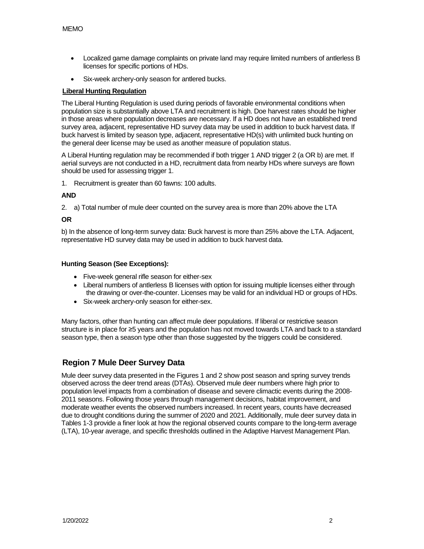- Localized game damage complaints on private land may require limited numbers of antlerless B licenses for specific portions of HDs.
- Six-week archery-only season for antlered bucks.

#### **Liberal Hunting Regulation**

The Liberal Hunting Regulation is used during periods of favorable environmental conditions when population size is substantially above LTA and recruitment is high. Doe harvest rates should be higher in those areas where population decreases are necessary. If a HD does not have an established trend survey area, adjacent, representative HD survey data may be used in addition to buck harvest data. If buck harvest is limited by season type, adjacent, representative HD(s) with unlimited buck hunting on the general deer license may be used as another measure of population status.

A Liberal Hunting regulation may be recommended if both trigger 1 AND trigger 2 (a OR b) are met. If aerial surveys are not conducted in a HD, recruitment data from nearby HDs where surveys are flown should be used for assessing trigger 1.

1. Recruitment is greater than 60 fawns: 100 adults.

### **AND**

2. a) Total number of mule deer counted on the survey area is more than 20% above the LTA

#### **OR**

b) In the absence of long-term survey data: Buck harvest is more than 25% above the LTA. Adjacent, representative HD survey data may be used in addition to buck harvest data.

#### **Hunting Season (See Exceptions):**

- Five-week general rifle season for either-sex
- Liberal numbers of antlerless B licenses with option for issuing multiple licenses either through the drawing or over-the-counter. Licenses may be valid for an individual HD or groups of HDs.
- Six-week archery-only season for either-sex.

Many factors, other than hunting can affect mule deer populations. If liberal or restrictive season structure is in place for ≥5 years and the population has not moved towards LTA and back to a standard season type, then a season type other than those suggested by the triggers could be considered.

# **Region 7 Mule Deer Survey Data**

Mule deer survey data presented in the Figures 1 and 2 show post season and spring survey trends observed across the deer trend areas (DTAs). Observed mule deer numbers where high prior to population level impacts from a combination of disease and severe climactic events during the 2008- 2011 seasons. Following those years through management decisions, habitat improvement, and moderate weather events the observed numbers increased. In recent years, counts have decreased due to drought conditions during the summer of 2020 and 2021. Additionally, mule deer survey data in Tables 1-3 provide a finer look at how the regional observed counts compare to the long-term average (LTA), 10-year average, and specific thresholds outlined in the Adaptive Harvest Management Plan.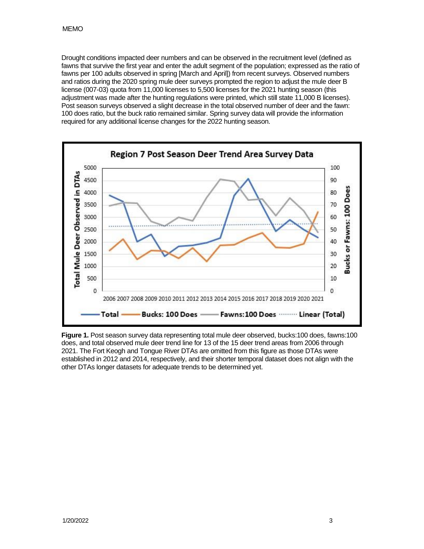Drought conditions impacted deer numbers and can be observed in the recruitment level (defined as fawns that survive the first year and enter the adult segment of the population; expressed as the ratio of fawns per 100 adults observed in spring [March and April]) from recent surveys. Observed numbers and ratios during the 2020 spring mule deer surveys prompted the region to adjust the mule deer B license (007-03) quota from 11,000 licenses to 5,500 licenses for the 2021 hunting season (this adjustment was made after the hunting regulations were printed, which still state 11,000 B licenses). Post season surveys observed a slight decrease in the total observed number of deer and the fawn: 100 does ratio, but the buck ratio remained similar. Spring survey data will provide the information required for any additional license changes for the 2022 hunting season.



**Figure 1.** Post season survey data representing total mule deer observed, bucks:100 does, fawns:100 does, and total observed mule deer trend line for 13 of the 15 deer trend areas from 2006 through 2021. The Fort Keogh and Tongue River DTAs are omitted from this figure as those DTAs were established in 2012 and 2014, respectively, and their shorter temporal dataset does not align with the other DTAs longer datasets for adequate trends to be determined yet.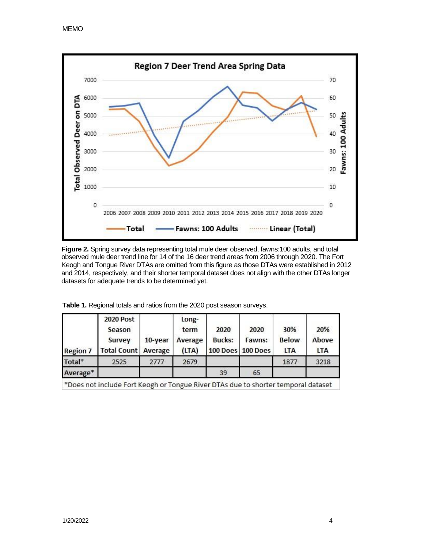

**Figure 2.** Spring survey data representing total mule deer observed, fawns:100 adults, and total observed mule deer trend line for 14 of the 16 deer trend areas from 2006 through 2020. The Fort Keogh and Tongue River DTAs are omitted from this figure as those DTAs were established in 2012 and 2014, respectively, and their shorter temporal dataset does not align with the other DTAs longer datasets for adequate trends to be determined yet.

| <b>Region 7</b> | <b>2020 Post</b><br>Season<br>Survey<br><b>Total Count   Average</b> | 10-year | Long-<br>term<br>Average<br>(LTA) | 2020<br><b>Bucks:</b> | 2020<br>Fawns:<br>100 Does 100 Does | 30%<br><b>Below</b><br><b>LTA</b> | 20%<br>Above<br><b>LTA</b> |
|-----------------|----------------------------------------------------------------------|---------|-----------------------------------|-----------------------|-------------------------------------|-----------------------------------|----------------------------|
| Total*          | 2525                                                                 | 2777    | 2679                              |                       |                                     | 1877                              | 3218                       |
| Average*        |                                                                      |         |                                   | 39                    | 65                                  |                                   |                            |

**Table 1.** Regional totals and ratios from the 2020 post season surveys.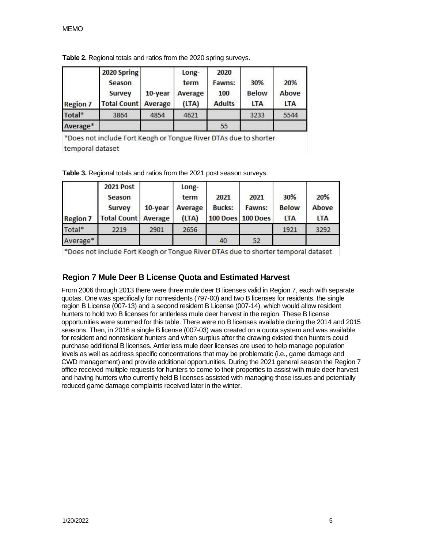| <b>Region 7</b>    | 2020 Spring<br>Season<br>Survey<br><b>Total Count Average</b> | 10-year | Long-<br>term<br>Average<br>(LTA) | 2020<br>Fawns:<br>100<br><b>Adults</b> | 30%<br><b>Below</b><br><b>LTA</b> | 20%<br>Above<br><b>LTA</b> |
|--------------------|---------------------------------------------------------------|---------|-----------------------------------|----------------------------------------|-----------------------------------|----------------------------|
| Total <sup>*</sup> | 3864                                                          | 4854    | 4621                              |                                        | 3233                              | 5544                       |
| Average*           |                                                               |         |                                   | 55                                     |                                   |                            |

**Table 2.** Regional totals and ratios from the 2020 spring surveys.

\*Does not include Fort Keogh or Tongue River DTAs due to shorter temporal dataset

|  |  |  |  |  | Table 3. Regional totals and ratios from the 2021 post season surveys. |  |
|--|--|--|--|--|------------------------------------------------------------------------|--|
|--|--|--|--|--|------------------------------------------------------------------------|--|

| <b>Region 7</b> | <b>2021 Post</b><br>Season<br>Survey<br><b>Total Count   Average</b> | 10-year | Long-<br>term<br>Average<br>(LTA) | 2021<br><b>Bucks:</b> | 2021<br>Fawns:<br>100 Does   100 Does | 30%<br><b>Below</b><br><b>LTA</b> | 20%<br>Above<br><b>LTA</b> |
|-----------------|----------------------------------------------------------------------|---------|-----------------------------------|-----------------------|---------------------------------------|-----------------------------------|----------------------------|
| Total*          | 2219                                                                 | 2901    | 2656                              |                       |                                       | 1921                              | 3292                       |
| Average*        |                                                                      |         |                                   | 40                    | 52                                    |                                   |                            |

\*Does not include Fort Keogh or Tongue River DTAs due to shorter temporal dataset

# **Region 7 Mule Deer B License Quota and Estimated Harvest**

From 2006 through 2013 there were three mule deer B licenses valid in Region 7, each with separate quotas. One was specifically for nonresidents (797-00) and two B licenses for residents, the single region B License (007-13) and a second resident B License (007-14), which would allow resident hunters to hold two B licenses for antlerless mule deer harvest in the region. These B license opportunities were summed for this table. There were no B licenses available during the 2014 and 2015 seasons. Then, in 2016 a single B license (007-03) was created on a quota system and was available for resident and nonresident hunters and when surplus after the drawing existed then hunters could purchase additional B licenses. Antlerless mule deer licenses are used to help manage population levels as well as address specific concentrations that may be problematic (i.e., game damage and CWD management) and provide additional opportunities. During the 2021 general season the Region 7 office received multiple requests for hunters to come to their properties to assist with mule deer harvest and having hunters who currently held B licenses assisted with managing those issues and potentially reduced game damage complaints received later in the winter.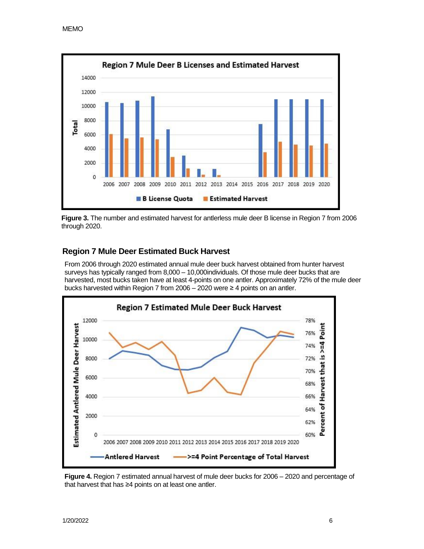

**Figure 3.** The number and estimated harvest for antlerless mule deer B license in Region 7 from 2006 through 2020.

# **Region 7 Mule Deer Estimated Buck Harvest**

From 2006 through 2020 estimated annual mule deer buck harvest obtained from hunter harvest surveys has typically ranged from 8,000 – 10,000individuals. Of those mule deer bucks that are harvested, most bucks taken have at least 4-points on one antler. Approximately 72% of the mule deer bucks harvested within Region 7 from 2006 – 2020 were ≥ 4 points on an antler.



**Figure 4.** Region 7 estimated annual harvest of mule deer bucks for 2006 – 2020 and percentage of that harvest that has ≥4 points on at least one antler.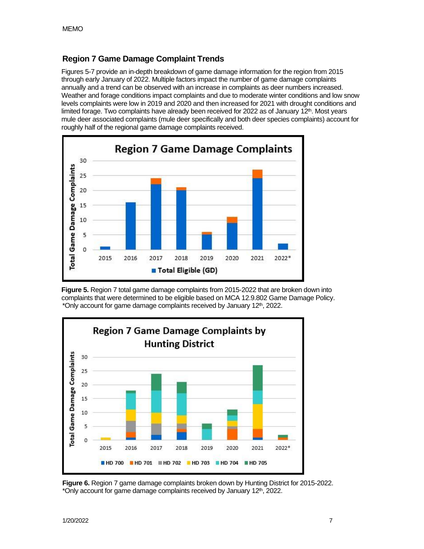# **Region 7 Game Damage Complaint Trends**

Figures 5-7 provide an in-depth breakdown of game damage information for the region from 2015 through early January of 2022. Multiple factors impact the number of game damage complaints annually and a trend can be observed with an increase in complaints as deer numbers increased. Weather and forage conditions impact complaints and due to moderate winter conditions and low snow levels complaints were low in 2019 and 2020 and then increased for 2021 with drought conditions and limited forage. Two complaints have already been received for 2022 as of January 12<sup>th</sup>. Most years mule deer associated complaints (mule deer specifically and both deer species complaints) account for roughly half of the regional game damage complaints received.



**Figure 5.** Region 7 total game damage complaints from 2015-2022 that are broken down into complaints that were determined to be eligible based on MCA 12.9.802 Game Damage Policy. \*Only account for game damage complaints received by January 12th, 2022.



**Figure 6.** Region 7 game damage complaints broken down by Hunting District for 2015-2022. \*Only account for game damage complaints received by January 12<sup>th</sup>, 2022.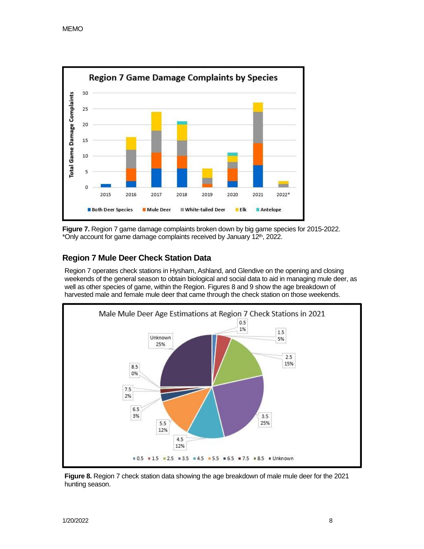

**Figure 7.** Region 7 game damage complaints broken down by big game species for 2015-2022. \*Only account for game damage complaints received by January 12th, 2022.

# **Region 7 Mule Deer Check Station Data**

Region 7 operates check stations in Hysham, Ashland, and Glendive on the opening and closing weekends of the general season to obtain biological and social data to aid in managing mule deer, as well as other species of game, within the Region. Figures 8 and 9 show the age breakdown of harvested male and female mule deer that came through the check station on those weekends.



**Figure 8.** Region 7 check station data showing the age breakdown of male mule deer for the 2021 hunting season.